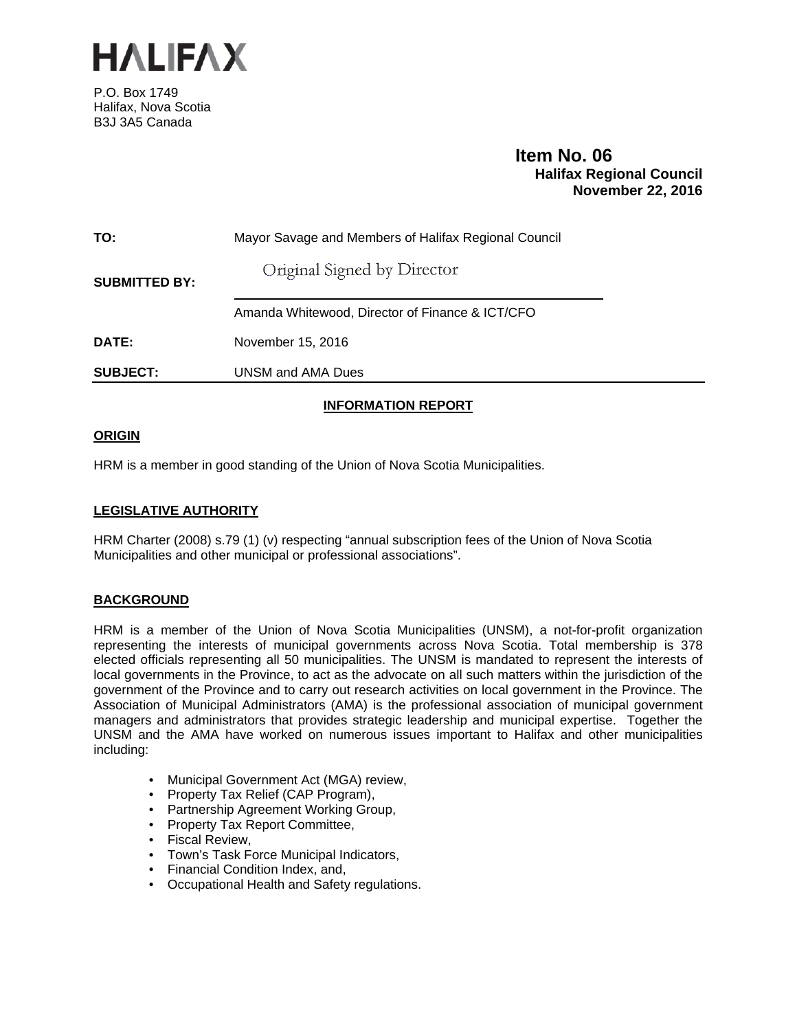

P.O. Box 1749 Halifax, Nova Scotia B3J 3A5 Canada

# **Item No. 06<br>Halifax Regional Council November 22, 2016**

| TO:                  | Mayor Savage and Members of Halifax Regional Council |  |  |
|----------------------|------------------------------------------------------|--|--|
| <b>SUBMITTED BY:</b> | Original Signed by Director                          |  |  |
|                      | Amanda Whitewood, Director of Finance & ICT/CFO      |  |  |
| DATE:                | November 15, 2016                                    |  |  |
| <b>SUBJECT:</b>      | UNSM and AMA Dues                                    |  |  |
|                      |                                                      |  |  |

## **INFORMATION REPORT**

## **ORIGIN**

HRM is a member in good standing of the Union of Nova Scotia Municipalities.

## **LEGISLATIVE AUTHORITY**

HRM Charter (2008) s.79 (1) (v) respecting "annual subscription fees of the Union of Nova Scotia Municipalities and other municipal or professional associations".

## **BACKGROUND**

HRM is a member of the Union of Nova Scotia Municipalities (UNSM), a not-for-profit organization representing the interests of municipal governments across Nova Scotia. Total membership is 378 elected officials representing all 50 municipalities. The UNSM is mandated to represent the interests of local governments in the Province, to act as the advocate on all such matters within the jurisdiction of the government of the Province and to carry out research activities on local government in the Province. The Association of Municipal Administrators (AMA) is the professional association of municipal government managers and administrators that provides strategic leadership and municipal expertise. Together the UNSM and the AMA have worked on numerous issues important to Halifax and other municipalities including:

- Municipal Government Act (MGA) review,
- Property Tax Relief (CAP Program),
- Partnership Agreement Working Group,
- Property Tax Report Committee,
- Fiscal Review,
- Town's Task Force Municipal Indicators,
- Financial Condition Index, and,
- Occupational Health and Safety regulations.